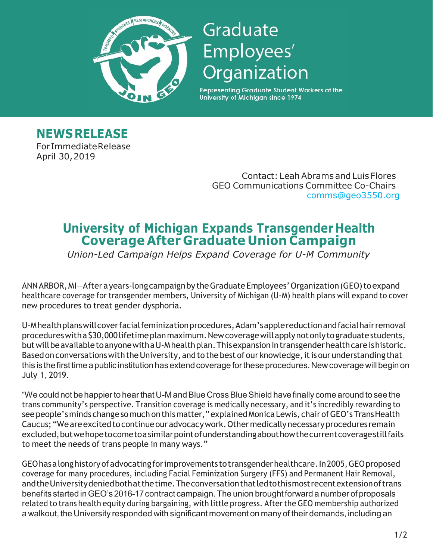

## Graduate Employees' Organization

Representing Graduate Student Workers at the University of Michigan since 1974

NEWS RELEASE For Immediate Release April 30, 2019

> Contact: Leah Abrams and Luis Flores GEO Communications Committee Co-Chairs comms@geo3550.org

## University of Michigan Expands Transgender Health Coverage After Graduate Union Campaign

Union-Led Campaign Helps Expand Coverage for U-M Community

ANN ARBOR, MI—After a years-long campaign by the Graduate Employees' Organization (GEO) to expand healthcare coverage for transgender members, University of Michigan (U-M) health plans will expand to cover new procedures to treat gender dysphoria.

U-M health plans will cover facial feminization procedures, Adam's apple reduction and facial hair removal procedures with a \$30,000 lifetime plan maximum. New coverage will apply not only to graduate students, but will be available to anyone with a U-M health plan. This expansion in transgender health care is historic. Based on conversations with the University, and to the best of our knowledge, it is our understanding that this is the first time a public institution has extend coverage for these procedures. New coverage will begin on July 1, 2019.

"We could not be happier to hear that U-M and Blue Cross Blue Shield have finally come around to see the trans community's perspective. Transition coverage is medically necessary, and it's incredibly rewarding to see people's minds change so much on this matter," explained Monica Lewis, chair of GEO's Trans Health Caucus; "We are excited to continue our advocacy work. Other medically necessary procedures remain excluded, but we hope to come to a similar point of understanding about how the current coverage still fails to meet the needs of trans people in many ways."

GEO has a long history of advocating for improvements to transgender healthcare. In 2005, GEO proposed coverage for many procedures, including Facial Feminization Surgery (FFS) and Permanent Hair Removal, and the University denied both at the time. The conversation that led to this most recent extension of trans benefits started in GEO's 2016-17 contract campaign. The union brought forward a number of proposals related to trans health equity during bargaining, with little progress. After the GEO membership authorized a walkout, the University responded with significant movement on many of their demands, including an